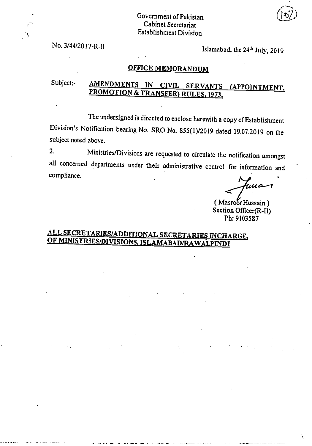### Government of Pakistan Cabinet Secretariat Establishment Division

No. 3/44/2017-R-11

Islamabad, the 24<sup>th</sup> July, 2019

#### OFFICE MEMORANDUM

# Subject:- **AMENDMENTS IN CIVIL SERVANTS (APPOINTMENT,** PROMOTION & TRANSFER) RULES, 1973.

The undersigned is directed to enclose herewith a copy of Establishment Division's Notification bearing No. SRO No. 855(1)/2019 dated 19.07.2019 on the subject noted above.

2. Ministries/Divisions are requested to circulate the notification amongst all concerned departments under their administrative control for information and compliance.

rua

( Masroor Hussain) Section Officer(R-II) Ph: 9103587

# **ALL SECRETARIES/ADDITIONAL SECRETARIES INCHARGE,** OF MINISTRIES/DIVISIONS, ISLAMABAD/RAWALPINDI